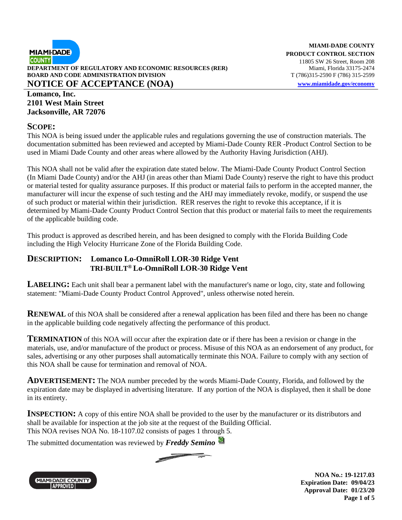

#### **Lomanco, Inc. 2101 West Main Street Jacksonville, AR 72076**

#### **SCOPE:**

This NOA is being issued under the applicable rules and regulations governing the use of construction materials. The documentation submitted has been reviewed and accepted by Miami-Dade County RER -Product Control Section to be used in Miami Dade County and other areas where allowed by the Authority Having Jurisdiction (AHJ).

This NOA shall not be valid after the expiration date stated below. The Miami-Dade County Product Control Section (In Miami Dade County) and/or the AHJ (in areas other than Miami Dade County) reserve the right to have this product or material tested for quality assurance purposes. If this product or material fails to perform in the accepted manner, the manufacturer will incur the expense of such testing and the AHJ may immediately revoke, modify, or suspend the use of such product or material within their jurisdiction. RER reserves the right to revoke this acceptance, if it is determined by Miami-Dade County Product Control Section that this product or material fails to meet the requirements of the applicable building code.

This product is approved as described herein, and has been designed to comply with the Florida Building Code including the High Velocity Hurricane Zone of the Florida Building Code.

#### **DESCRIPTION: Lomanco Lo-OmniRoll LOR-30 Ridge Vent TRI-BUILT® Lo-OmniRoll LOR-30 Ridge Vent**

**LABELING:** Each unit shall bear a permanent label with the manufacturer's name or logo, city, state and following statement: "Miami-Dade County Product Control Approved", unless otherwise noted herein.

**RENEWAL** of this NOA shall be considered after a renewal application has been filed and there has been no change in the applicable building code negatively affecting the performance of this product.

**TERMINATION** of this NOA will occur after the expiration date or if there has been a revision or change in the materials, use, and/or manufacture of the product or process. Misuse of this NOA as an endorsement of any product, for sales, advertising or any other purposes shall automatically terminate this NOA. Failure to comply with any section of this NOA shall be cause for termination and removal of NOA.

**ADVERTISEMENT:** The NOA number preceded by the words Miami-Dade County, Florida, and followed by the expiration date may be displayed in advertising literature. If any portion of the NOA is displayed, then it shall be done in its entirety.

**INSPECTION:** A copy of this entire NOA shall be provided to the user by the manufacturer or its distributors and shall be available for inspection at the job site at the request of the Building Official. This NOA revises NOA No. 18-1107.02 consists of pages 1 through 5.

The submitted documentation was reviewed by *Freddy Semino*



**NOA No.: 19-1217.03 Expiration Date: 09/04/23 Approval Date: 01/23/20 Page 1 of 5**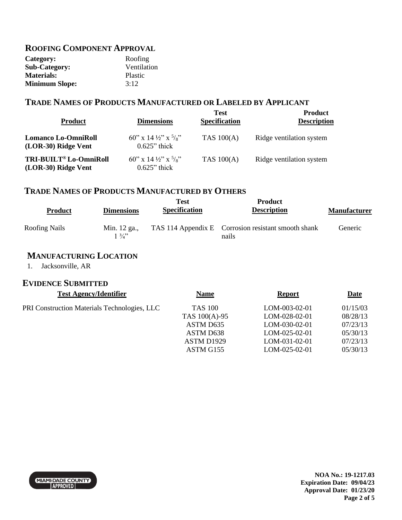#### **ROOFING COMPONENT APPROVAL**

| Category:             | Roofing     |
|-----------------------|-------------|
| <b>Sub-Category:</b>  | Ventilation |
| <b>Materials:</b>     | Plastic     |
| <b>Minimum Slope:</b> | 3:12        |

### **TRADE NAMES OF PRODUCTS MANUFACTURED OR LABELED BY APPLICANT**

| <b>Product</b>                                    | <b>Dimensions</b>                                             | <b>Test</b><br><b>Specification</b> | <b>Product</b><br><b>Description</b> |
|---------------------------------------------------|---------------------------------------------------------------|-------------------------------------|--------------------------------------|
| <b>Lomanco Lo-OmniRoll</b><br>(LOR-30) Ridge Vent | 60" x 14 $\frac{1}{2}$ " x $\frac{5}{8}$ "<br>$0.625$ " thick | <b>TAS 100(A)</b>                   | Ridge ventilation system             |
| TRI-BUILT® Lo-OmniRoll<br>(LOR-30) Ridge Vent     | 60" x 14 $\frac{1}{2}$ " x $\frac{5}{8}$ "<br>$0.625$ " thick | <b>TAS 100(A)</b>                   | Ridge ventilation system             |

# **TRADE NAMES OF PRODUCTS MANUFACTURED BY OTHERS**

| <b>Product</b> | <b>Dimensions</b>               | Test<br><b>Specification</b> | <b>Product</b><br><b>Description</b>                         | <b>Manufacturer</b> |
|----------------|---------------------------------|------------------------------|--------------------------------------------------------------|---------------------|
| Roofing Nails  | Min. 12 ga.,<br>$1 \frac{3}{4}$ |                              | TAS 114 Appendix E Corrosion resistant smooth shank<br>nails | Generic             |

# **MANUFACTURING LOCATION**

1. Jacksonville, AR

# **EVIDENCE SUBMITTED**

| <b>Test Agency/Identifier</b>                | <b>Name</b>    | <b>Report</b>   | <b>Date</b> |
|----------------------------------------------|----------------|-----------------|-------------|
| PRI Construction Materials Technologies, LLC | <b>TAS 100</b> | LOM-003-02-01   | 01/15/03    |
|                                              | TAS 100(A)-95  | LOM-028-02-01   | 08/28/13    |
|                                              | ASTM D635      | LOM-030-02-01   | 07/23/13    |
|                                              | ASTM D638      | $LOM-025-02-01$ | 05/30/13    |
|                                              | ASTM D1929     | LOM-031-02-01   | 07/23/13    |
|                                              | ASTM G155      | LOM-025-02-01   | 05/30/13    |
|                                              |                |                 |             |

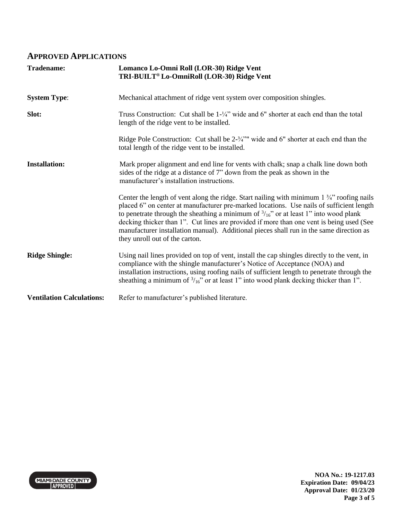#### **APPROVED APPLICATIONS**

| <b>Tradename:</b>                | Lomanco Lo-Omni Roll (LOR-30) Ridge Vent<br>TRI-BUILT <sup>®</sup> Lo-OmniRoll (LOR-30) Ridge Vent                                                                                                                                                                                                                                                                                                                                                                                                                           |
|----------------------------------|------------------------------------------------------------------------------------------------------------------------------------------------------------------------------------------------------------------------------------------------------------------------------------------------------------------------------------------------------------------------------------------------------------------------------------------------------------------------------------------------------------------------------|
| <b>System Type:</b>              | Mechanical attachment of ridge vent system over composition shingles.                                                                                                                                                                                                                                                                                                                                                                                                                                                        |
| Slot:                            | Truss Construction: Cut shall be $1-\frac{1}{4}$ wide and 6" shorter at each end than the total<br>length of the ridge vent to be installed.                                                                                                                                                                                                                                                                                                                                                                                 |
|                                  | Ridge Pole Construction: Cut shall be $2\frac{3}{4}$ " wide and 6" shorter at each end than the<br>total length of the ridge vent to be installed.                                                                                                                                                                                                                                                                                                                                                                           |
| <b>Installation:</b>             | Mark proper alignment and end line for vents with chalk; snap a chalk line down both<br>sides of the ridge at a distance of 7" down from the peak as shown in the<br>manufacturer's installation instructions.                                                                                                                                                                                                                                                                                                               |
|                                  | Center the length of vent along the ridge. Start nailing with minimum $1\frac{3}{4}$ " roofing nails<br>placed 6" on center at manufacturer pre-marked locations. Use nails of sufficient length<br>to penetrate through the sheathing a minimum of $\frac{3}{16}$ " or at least 1" into wood plank<br>decking thicker than 1". Cut lines are provided if more than one vent is being used (See<br>manufacturer installation manual). Additional pieces shall run in the same direction as<br>they unroll out of the carton. |
| <b>Ridge Shingle:</b>            | Using nail lines provided on top of vent, install the cap shingles directly to the vent, in<br>compliance with the shingle manufacturer's Notice of Acceptance (NOA) and<br>installation instructions, using roofing nails of sufficient length to penetrate through the<br>sheathing a minimum of $\frac{3}{16}$ " or at least 1" into wood plank decking thicker than 1".                                                                                                                                                  |
| <b>Ventilation Calculations:</b> | Refer to manufacturer's published literature.                                                                                                                                                                                                                                                                                                                                                                                                                                                                                |

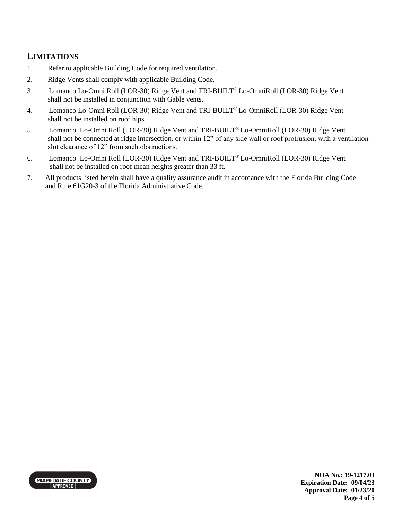## **LIMITATIONS**

- 1. Refer to applicable Building Code for required ventilation.
- 2. Ridge Vents shall comply with applicable Building Code.
- 3. Lomanco Lo-Omni Roll (LOR-30) Ridge Vent and TRI-BUILT® Lo-OmniRoll (LOR-30) Ridge Vent shall not be installed in conjunction with Gable vents.
- 4. Lomanco Lo-Omni Roll (LOR-30) Ridge Vent and TRI-BUILT® Lo-OmniRoll (LOR-30) Ridge Vent shall not be installed on roof hips.
- 5. Lomanco Lo-Omni Roll (LOR-30) Ridge Vent and TRI-BUILT® Lo-OmniRoll (LOR-30) Ridge Vent shall not be connected at ridge intersection, or within 12" of any side wall or roof protrusion, with a ventilation slot clearance of 12" from such obstructions.
- 6. Lomanco Lo-Omni Roll (LOR-30) Ridge Vent and TRI-BUILT® Lo-OmniRoll (LOR-30) Ridge Vent shall not be installed on roof mean heights greater than 33 ft.
- 7. All products listed herein shall have a quality assurance audit in accordance with the Florida Building Code and Rule 61G20-3 of the Florida Administrative Code.